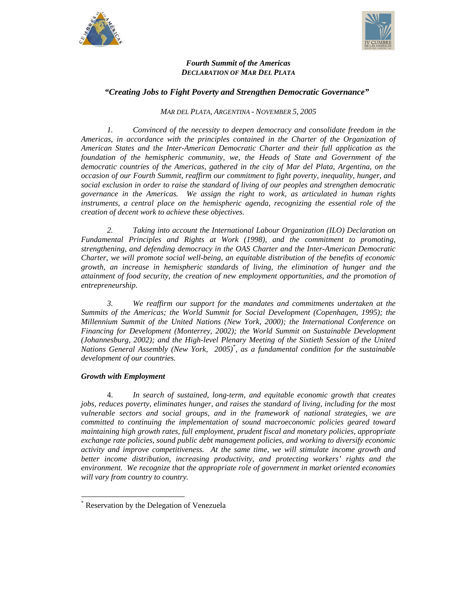



## *Fourth Summit of the Americas DECLARATION OF MAR DEL PLATA*

## *"Creating Jobs to Fight Poverty and Strengthen Democratic Governance"*

# *MAR DEL PLATA, ARGENTINA - NOVEMBER 5, 2005*

*1. Convinced of the necessity to deepen democracy and consolidate freedom in the Americas, in accordance with the principles contained in the Charter of the Organization of American States and the Inter-American Democratic Charter and their full application as the foundation of the hemispheric community, we, the Heads of State and Government of the democratic countries of the Americas, gathered in the city of Mar del Plata, Argentina, on the occasion of our Fourth Summit, reaffirm our commitment to fight poverty, inequality, hunger, and social exclusion in order to raise the standard of living of our peoples and strengthen democratic governance in the Americas. We assign the right to work, as articulated in human rights instruments, a central place on the hemispheric agenda, recognizing the essential role of the creation of decent work to achieve these objectives.* 

*2. Taking into account the International Labour Organization (ILO) Declaration on Fundamental Principles and Rights at Work (1998), and the commitment to promoting, strengthening, and defending democracy in the OAS Charter and the Inter-American Democratic Charter, we will promote social well-being, an equitable distribution of the benefits of economic growth, an increase in hemispheric standards of living, the elimination of hunger and the attainment of food security, the creation of new employment opportunities, and the promotion of entrepreneurship.* 

*3. We reaffirm our support for the mandates and commitments undertaken at the Summits of the Americas; the World Summit for Social Development (Copenhagen, 1995); the Millennium Summit of the United Nations (New York, 2000); the International Conference on Financing for Development (Monterrey, 2002); the World Summit on Sustainable Development (Johannesburg, 2002); and the High-level Plenary Meeting of the Sixtieth Session of the United Nations General Assembly (New York, 2005)\* , as a fundamental condition for the sustainable development of our countries.* 

## *Growth with Employment*

4. *In search of sustained, long-term, and equitable economic growth that creates jobs, reduces poverty, eliminates hunger, and raises the standard of living, including for the most vulnerable sectors and social groups, and in the framework of national strategies, we are committed to continuing the implementation of sound macroeconomic policies geared toward maintaining high growth rates, full employment, prudent fiscal and monetary policies, appropriate exchange rate policies, sound public debt management policies, and working to diversify economic activity and improve competitiveness. At the same time, we will stimulate income growth and better income distribution, increasing productivity, and protecting workers' rights and the environment. We recognize that the appropriate role of government in market oriented economies will vary from country to country.*

<sup>\*</sup> Reservation by the Delegation of Venezuela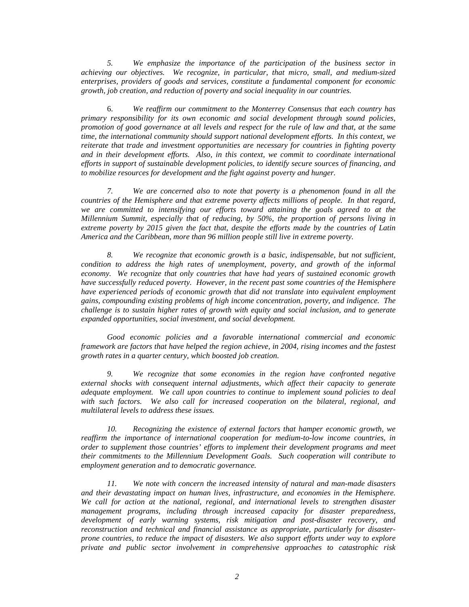*5. We emphasize the importance of the participation of the business sector in achieving our objectives. We recognize, in particular, that micro, small, and medium-sized enterprises, providers of goods and services, constitute a fundamental component for economic growth, job creation, and reduction of poverty and social inequality in our countries.* 

6. *We reaffirm our commitment to the Monterrey Consensus that each country has primary responsibility for its own economic and social development through sound policies, promotion of good governance at all levels and respect for the rule of law and that, at the same time, the international community should support national development efforts. In this context, we reiterate that trade and investment opportunities are necessary for countries in fighting poverty and in their development efforts. Also, in this context, we commit to coordinate international efforts in support of sustainable development policies, to identify secure sources of financing, and to mobilize resources for development and the fight against poverty and hunger.*

*7. We are concerned also to note that poverty is a phenomenon found in all the countries of the Hemisphere and that extreme poverty affects millions of people. In that regard, we are committed to intensifying our efforts toward attaining the goals agreed to at the Millennium Summit, especially that of reducing, by 50%, the proportion of persons living in extreme poverty by 2015 given the fact that, despite the efforts made by the countries of Latin America and the Caribbean, more than 96 million people still live in extreme poverty.* 

*8. We recognize that economic growth is a basic, indispensable, but not sufficient, condition to address the high rates of unemployment, poverty, and growth of the informal economy. We recognize that only countries that have had years of sustained economic growth have successfully reduced poverty. However, in the recent past some countries of the Hemisphere have experienced periods of economic growth that did not translate into equivalent employment gains, compounding existing problems of high income concentration, poverty, and indigence. The challenge is to sustain higher rates of growth with equity and social inclusion, and to generate expanded opportunities, social investment, and social development.* 

*Good economic policies and a favorable international commercial and economic framework are factors that have helped the region achieve, in 2004, rising incomes and the fastest growth rates in a quarter century, which boosted job creation.* 

*9. We recognize that some economies in the region have confronted negative external shocks with consequent internal adjustments, which affect their capacity to generate adequate employment. We call upon countries to continue to implement sound policies to deal with such factors. We also call for increased cooperation on the bilateral, regional, and multilateral levels to address these issues.* 

*10. Recognizing the existence of external factors that hamper economic growth, we reaffirm the importance of international cooperation for medium-to-low income countries, in order to supplement those countries' efforts to implement their development programs and meet their commitments to the Millennium Development Goals. Such cooperation will contribute to employment generation and to democratic governance.* 

*11. We note with concern the increased intensity of natural and man-made disasters and their devastating impact on human lives, infrastructure, and economies in the Hemisphere. We call for action at the national, regional, and international levels to strengthen disaster management programs, including through increased capacity for disaster preparedness, development of early warning systems, risk mitigation and post-disaster recovery, and reconstruction and technical and financial assistance as appropriate, particularly for disasterprone countries, to reduce the impact of disasters. We also support efforts under way to explore private and public sector involvement in comprehensive approaches to catastrophic risk*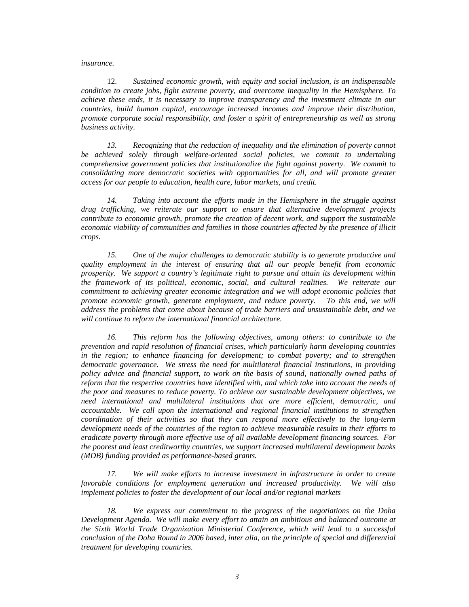*insurance.* 

12. *Sustained economic growth, with equity and social inclusion, is an indispensable condition to create jobs, fight extreme poverty, and overcome inequality in the Hemisphere. To achieve these ends, it is necessary to improve transparency and the investment climate in our countries, build human capital, encourage increased incomes and improve their distribution, promote corporate social responsibility, and foster a spirit of entrepreneurship as well as strong business activity.*

*13. Recognizing that the reduction of inequality and the elimination of poverty cannot*  be achieved solely through welfare-oriented social policies, we commit to undertaking *comprehensive government policies that institutionalize the fight against poverty. We commit to consolidating more democratic societies with opportunities for all, and will promote greater access for our people to education, health care, labor markets, and credit.* 

*14. Taking into account the efforts made in the Hemisphere in the struggle against drug trafficking, we reiterate our support to ensure that alternative development projects contribute to economic growth, promote the creation of decent work, and support the sustainable economic viability of communities and families in those countries affected by the presence of illicit crops.* 

*15. One of the major challenges to democratic stability is to generate productive and quality employment in the interest of ensuring that all our people benefit from economic prosperity. We support a country's legitimate right to pursue and attain its development within the framework of its political, economic, social, and cultural realities. We reiterate our commitment to achieving greater economic integration and we will adopt economic policies that promote economic growth, generate employment, and reduce poverty. To this end, we will address the problems that come about because of trade barriers and unsustainable debt, and we will continue to reform the international financial architecture.* 

*16. This reform has the following objectives, among others: to contribute to the prevention and rapid resolution of financial crises, which particularly harm developing countries in the region; to enhance financing for development; to combat poverty; and to strengthen democratic governance. We stress the need for multilateral financial institutions, in providing policy advice and financial support, to work on the basis of sound, nationally owned paths of reform that the respective countries have identified with, and which take into account the needs of the poor and measures to reduce poverty. To achieve our sustainable development objectives, we need international and multilateral institutions that are more efficient, democratic, and accountable. We call upon the international and regional financial institutions to strengthen coordination of their activities so that they can respond more effectively to the long-term development needs of the countries of the region to achieve measurable results in their efforts to eradicate poverty through more effective use of all available development financing sources. For the poorest and least creditworthy countries, we support increased multilateral development banks (MDB) funding provided as performance-based grants.* 

*17. We will make efforts to increase investment in infrastructure in order to create favorable conditions for employment generation and increased productivity. We will also implement policies to foster the development of our local and/or regional markets* 

*18. We express our commitment to the progress of the negotiations on the Doha Development Agenda. We will make every effort to attain an ambitious and balanced outcome at the Sixth World Trade Organization Ministerial Conference, which will lead to a successful conclusion of the Doha Round in 2006 based, inter alia, on the principle of special and differential treatment for developing countries.*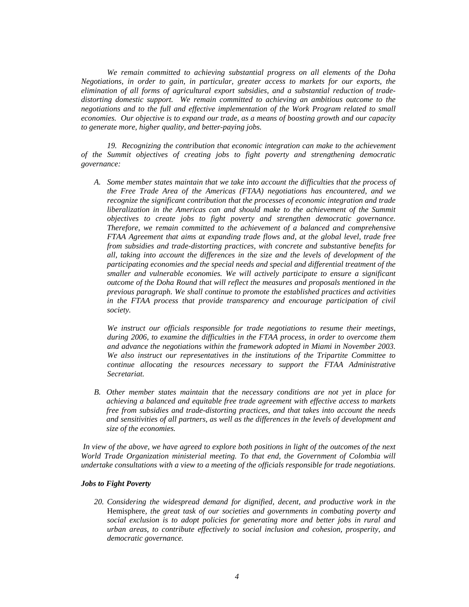*We remain committed to achieving substantial progress on all elements of the Doha Negotiations, in order to gain, in particular, greater access to markets for our exports, the elimination of all forms of agricultural export subsidies, and a substantial reduction of tradedistorting domestic support. We remain committed to achieving an ambitious outcome to the negotiations and to the full and effective implementation of the Work Program related to small economies. Our objective is to expand our trade, as a means of boosting growth and our capacity to generate more, higher quality, and better-paying jobs.*

*19. Recognizing the contribution that economic integration can make to the achievement of the Summit objectives of creating jobs to fight poverty and strengthening democratic governance:* 

*A. Some member states maintain that we take into account the difficulties that the process of the Free Trade Area of the Americas (FTAA) negotiations has encountered, and we recognize the significant contribution that the processes of economic integration and trade liberalization in the Americas can and should make to the achievement of the Summit objectives to create jobs to fight poverty and strengthen democratic governance. Therefore, we remain committed to the achievement of a balanced and comprehensive FTAA Agreement that aims at expanding trade flows and, at the global level, trade free from subsidies and trade-distorting practices, with concrete and substantive benefits for all, taking into account the differences in the size and the levels of development of the participating economies and the special needs and special and differential treatment of the smaller and vulnerable economies. We will actively participate to ensure a significant outcome of the Doha Round that will reflect the measures and proposals mentioned in the previous paragraph. We shall continue to promote the established practices and activities in the FTAA process that provide transparency and encourage participation of civil society.* 

*We instruct our officials responsible for trade negotiations to resume their meetings, during 2006, to examine the difficulties in the FTAA process, in order to overcome them and advance the negotiations within the framework adopted in Miami in November 2003. We also instruct our representatives in the institutions of the Tripartite Committee to continue allocating the resources necessary to support the FTAA Administrative Secretariat.* 

*B. Other member states maintain that the necessary conditions are not yet in place for achieving a balanced and equitable free trade agreement with effective access to markets free from subsidies and trade-distorting practices, and that takes into account the needs and sensitivities of all partners, as well as the differences in the levels of development and size of the economies.* 

 *In view of the above, we have agreed to explore both positions in light of the outcomes of the next World Trade Organization ministerial meeting. To that end, the Government of Colombia will undertake consultations with a view to a meeting of the officials responsible for trade negotiations.* 

#### *Jobs to Fight Poverty*

*20. Considering the widespread demand for dignified, decent, and productive work in the*  Hemisphere*, the great task of our societies and governments in combating poverty and social exclusion is to adopt policies for generating more and better jobs in rural and urban areas, to contribute effectively to social inclusion and cohesion, prosperity, and democratic governance.*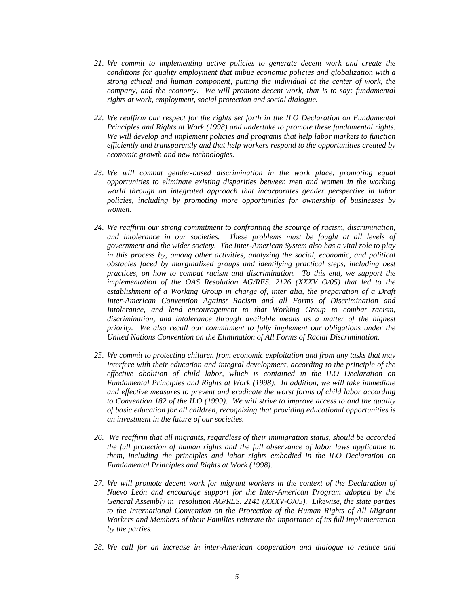- *21. We commit to implementing active policies to generate decent work and create the conditions for quality employment that imbue economic policies and globalization with a strong ethical and human component, putting the individual at the center of work, the company, and the economy. We will promote decent work, that is to say: fundamental rights at work, employment, social protection and social dialogue.*
- *22. We reaffirm our respect for the rights set forth in the ILO Declaration on Fundamental Principles and Rights at Work (1998) and undertake to promote these fundamental rights. We will develop and implement policies and programs that help labor markets to function efficiently and transparently and that help workers respond to the opportunities created by economic growth and new technologies.*
- *23. We will combat gender-based discrimination in the work place, promoting equal opportunities to eliminate existing disparities between men and women in the working world through an integrated approach that incorporates gender perspective in labor policies, including by promoting more opportunities for ownership of businesses by women.*
- *24. We reaffirm our strong commitment to confronting the scourge of racism, discrimination, and intolerance in our societies. These problems must be fought at all levels of government and the wider society. The Inter-American System also has a vital role to play in this process by, among other activities, analyzing the social, economic, and political obstacles faced by marginalized groups and identifying practical steps, including best practices, on how to combat racism and discrimination. To this end, we support the implementation of the OAS Resolution AG/RES. 2126 (XXXV O/05) that led to the establishment of a Working Group in charge of, inter alia, the preparation of a Draft Inter-American Convention Against Racism and all Forms of Discrimination and Intolerance, and lend encouragement to that Working Group to combat racism, discrimination, and intolerance through available means as a matter of the highest priority. We also recall our commitment to fully implement our obligations under the United Nations Convention on the Elimination of All Forms of Racial Discrimination.*
- *25. We commit to protecting children from economic exploitation and from any tasks that may interfere with their education and integral development, according to the principle of the effective abolition of child labor, which is contained in the ILO Declaration on Fundamental Principles and Rights at Work (1998). In addition, we will take immediate and effective measures to prevent and eradicate the worst forms of child labor according to Convention 182 of the ILO (1999). We will strive to improve access to and the quality of basic education for all children, recognizing that providing educational opportunities is an investment in the future of our societies.*
- *26. We reaffirm that all migrants, regardless of their immigration status, should be accorded the full protection of human rights and the full observance of labor laws applicable to them, including the principles and labor rights embodied in the ILO Declaration on Fundamental Principles and Rights at Work (1998).*
- 27. We will promote decent work for migrant workers in the context of the Declaration of *Nuevo León and encourage support for the Inter-American Program adopted by the General Assembly in resolution AG/RES. 2141 (XXXV-O/05). Likewise, the state parties to the International Convention on the Protection of the Human Rights of All Migrant Workers and Members of their Families reiterate the importance of its full implementation by the parties.*
- *28. We call for an increase in inter-American cooperation and dialogue to reduce and*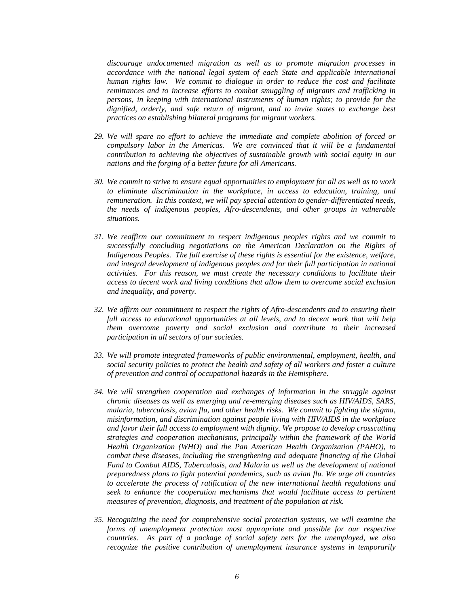*discourage undocumented migration as well as to promote migration processes in accordance with the national legal system of each State and applicable international human rights law. We commit to dialogue in order to reduce the cost and facilitate remittances and to increase efforts to combat smuggling of migrants and trafficking in persons, in keeping with international instruments of human rights; to provide for the dignified, orderly, and safe return of migrant, and to invite states to exchange best practices on establishing bilateral programs for migrant workers.* 

- *29. We will spare no effort to achieve the immediate and complete abolition of forced or compulsory labor in the Americas. We are convinced that it will be a fundamental contribution to achieving the objectives of sustainable growth with social equity in our nations and the forging of a better future for all Americans.*
- *30. We commit to strive to ensure equal opportunities to employment for all as well as to work to eliminate discrimination in the workplace, in access to education, training, and remuneration. In this context, we will pay special attention to gender-differentiated needs, the needs of indigenous peoples, Afro-descendents, and other groups in vulnerable situations.*
- *31. We reaffirm our commitment to respect indigenous peoples rights and we commit to successfully concluding negotiations on the American Declaration on the Rights of Indigenous Peoples. The full exercise of these rights is essential for the existence, welfare, and integral development of indigenous peoples and for their full participation in national activities. For this reason, we must create the necessary conditions to facilitate their access to decent work and living conditions that allow them to overcome social exclusion and inequality, and poverty.*
- *32. We affirm our commitment to respect the rights of Afro-descendents and to ensuring their full access to educational opportunities at all levels, and to decent work that will help them overcome poverty and social exclusion and contribute to their increased participation in all sectors of our societies.*
- *33. We will promote integrated frameworks of public environmental, employment, health, and social security policies to protect the health and safety of all workers and foster a culture of prevention and control of occupational hazards in the Hemisphere.*
- *34. We will strengthen cooperation and exchanges of information in the struggle against chronic diseases as well as emerging and re-emerging diseases such as HIV/AIDS, SARS, malaria, tuberculosis, avian flu, and other health risks. We commit to fighting the stigma, misinformation, and discrimination against people living with HIV/AIDS in the workplace and favor their full access to employment with dignity. We propose to develop crosscutting strategies and cooperation mechanisms, principally within the framework of the World Health Organization (WHO) and the Pan American Health Organization (PAHO), to combat these diseases, including the strengthening and adequate financing of the Global Fund to Combat AIDS, Tuberculosis, and Malaria as well as the development of national preparedness plans to fight potential pandemics, such as avian flu. We urge all countries to accelerate the process of ratification of the new international health regulations and*  seek to enhance the cooperation mechanisms that would facilitate access to pertinent *measures of prevention, diagnosis, and treatment of the population at risk.*
- *35. Recognizing the need for comprehensive social protection systems, we will examine the forms of unemployment protection most appropriate and possible for our respective countries. As part of a package of social safety nets for the unemployed, we also recognize the positive contribution of unemployment insurance systems in temporarily*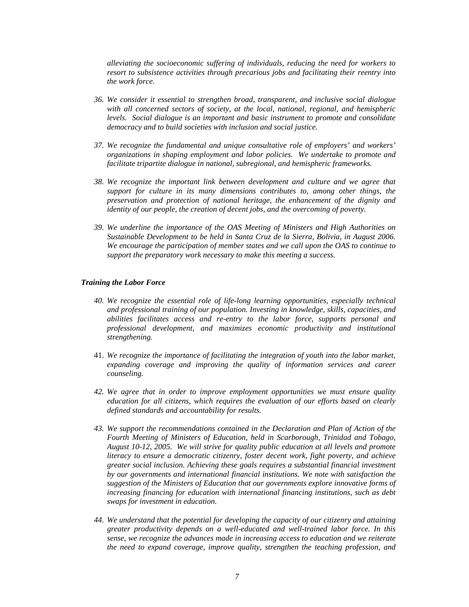*alleviating the socioeconomic suffering of individuals, reducing the need for workers to resort to subsistence activities through precarious jobs and facilitating their reentry into the work force.* 

- *36. We consider it essential to strengthen broad, transparent, and inclusive social dialogue with all concerned sectors of society, at the local, national, regional, and hemispheric levels. Social dialogue is an important and basic instrument to promote and consolidate democracy and to build societies with inclusion and social justice.*
- *37. We recognize the fundamental and unique consultative role of employers' and workers' organizations in shaping employment and labor policies. We undertake to promote and facilitate tripartite dialogue in national, subregional, and hemispheric frameworks.*
- *38. We recognize the important link between development and culture and we agree that support for culture in its many dimensions contributes to, among other things, the preservation and protection of national heritage, the enhancement of the dignity and identity of our people, the creation of decent jobs, and the overcoming of poverty.*
- *39. We underline the importance of the OAS Meeting of Ministers and High Authorities on Sustainable Development to be held in Santa Cruz de la Sierra, Bolivia, in August 2006. We encourage the participation of member states and we call upon the OAS to continue to support the preparatory work necessary to make this meeting a success.*

### *Training the Labor Force*

- *40. We recognize the essential role of life-long learning opportunities, especially technical and professional training of our population. Investing in knowledge, skills, capacities, and abilities facilitates access and re-entry to the labor force, supports personal and professional development, and maximizes economic productivity and institutional strengthening.*
- 41. *We recognize the importance of facilitating the integration of youth into the labor market, expanding coverage and improving the quality of information services and career counseling.*
- *42. We agree that in order to improve employment opportunities we must ensure quality education for all citizens, which requires the evaluation of our efforts based on clearly defined standards and accountability for results.*
- *43. We support the recommendations contained in the Declaration and Plan of Action of the Fourth Meeting of Ministers of Education, held in Scarborough, Trinidad and Tobago, August 10-12, 2005. We will strive for quality public education at all levels and promote literacy to ensure a democratic citizenry, foster decent work, fight poverty, and achieve greater social inclusion. Achieving these goals requires a substantial financial investment by our governments and international financial institutions. We note with satisfaction the suggestion of the Ministers of Education that our governments explore innovative forms of increasing financing for education with international financing institutions, such as debt swaps for investment in education.*
- *44. We understand that the potential for developing the capacity of our citizenry and attaining greater productivity depends on a well-educated and well-trained labor force. In this sense, we recognize the advances made in increasing access to education and we reiterate the need to expand coverage, improve quality, strengthen the teaching profession, and*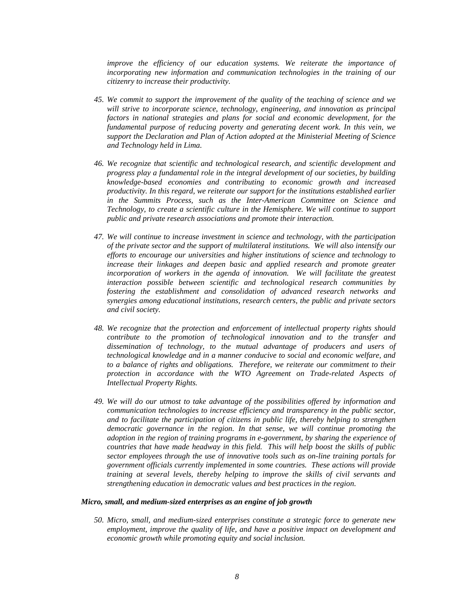*improve the efficiency of our education systems. We reiterate the importance of incorporating new information and communication technologies in the training of our citizenry to increase their productivity.* 

- *45. We commit to support the improvement of the quality of the teaching of science and we will strive to incorporate science, technology, engineering, and innovation as principal*  factors in national strategies and plans for social and economic development, for the *fundamental purpose of reducing poverty and generating decent work. In this vein, we support the Declaration and Plan of Action adopted at the Ministerial Meeting of Science and Technology held in Lima.*
- *46. We recognize that scientific and technological research, and scientific development and progress play a fundamental role in the integral development of our societies, by building knowledge-based economies and contributing to economic growth and increased productivity. In this regard, we reiterate our support for the institutions established earlier in the Summits Process, such as the Inter-American Committee on Science and Technology, to create a scientific culture in the Hemisphere. We will continue to support public and private research associations and promote their interaction.*
- *47. We will continue to increase investment in science and technology, with the participation of the private sector and the support of multilateral institutions. We will also intensify our efforts to encourage our universities and higher institutions of science and technology to increase their linkages and deepen basic and applied research and promote greater incorporation of workers in the agenda of innovation. We will facilitate the greatest interaction possible between scientific and technological research communities by fostering the establishment and consolidation of advanced research networks and synergies among educational institutions, research centers, the public and private sectors and civil society.*
- *48. We recognize that the protection and enforcement of intellectual property rights should contribute to the promotion of technological innovation and to the transfer and dissemination of technology, to the mutual advantage of producers and users of technological knowledge and in a manner conducive to social and economic welfare, and to a balance of rights and obligations. Therefore, we reiterate our commitment to their protection in accordance with the WTO Agreement on Trade-related Aspects of Intellectual Property Rights.*
- *49. We will do our utmost to take advantage of the possibilities offered by information and communication technologies to increase efficiency and transparency in the public sector, and to facilitate the participation of citizens in public life, thereby helping to strengthen democratic governance in the region. In that sense, we will continue promoting the adoption in the region of training programs in e-government, by sharing the experience of countries that have made headway in this field. This will help boost the skills of public sector employees through the use of innovative tools such as on-line training portals for government officials currently implemented in some countries. These actions will provide training at several levels, thereby helping to improve the skills of civil servants and strengthening education in democratic values and best practices in the region.*

#### *Micro, small, and medium-sized enterprises as an engine of job growth*

*50. Micro, small, and medium-sized enterprises constitute a strategic force to generate new employment, improve the quality of life, and have a positive impact on development and economic growth while promoting equity and social inclusion.*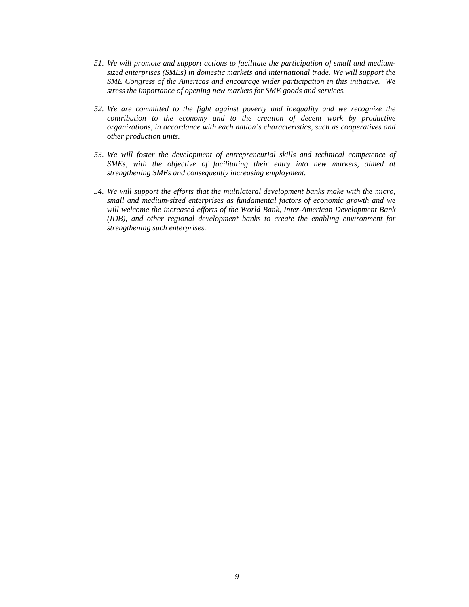- *51. We will promote and support actions to facilitate the participation of small and mediumsized enterprises (SMEs) in domestic markets and international trade. We will support the SME Congress of the Americas and encourage wider participation in this initiative. We stress the importance of opening new markets for SME goods and services.*
- *52. We are committed to the fight against poverty and inequality and we recognize the contribution to the economy and to the creation of decent work by productive organizations, in accordance with each nation's characteristics, such as cooperatives and other production units.*
- *53. We will foster the development of entrepreneurial skills and technical competence of SMEs, with the objective of facilitating their entry into new markets, aimed at strengthening SMEs and consequently increasing employment.*
- *54. We will support the efforts that the multilateral development banks make with the micro, small and medium-sized enterprises as fundamental factors of economic growth and we will welcome the increased efforts of the World Bank, Inter-American Development Bank (IDB), and other regional development banks to create the enabling environment for strengthening such enterprises.*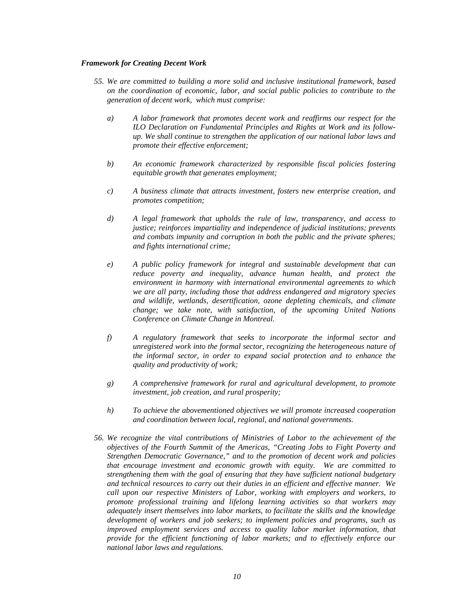#### *Framework for Creating Decent Work*

- *55. We are committed to building a more solid and inclusive institutional framework, based on the coordination of economic, labor, and social public policies to contribute to the generation of decent work, which must comprise:* 
	- *a) A labor framework that promotes decent work and reaffirms our respect for the ILO Declaration on Fundamental Principles and Rights at Work and its followup. We shall continue to strengthen the application of our national labor laws and promote their effective enforcement;*
	- *b) An economic framework characterized by responsible fiscal policies fostering equitable growth that generates employment;*
	- *c) A business climate that attracts investment, fosters new enterprise creation, and promotes competition;*
	- *d) A legal framework that upholds the rule of law, transparency, and access to justice; reinforces impartiality and independence of judicial institutions; prevents and combats impunity and corruption in both the public and the private spheres; and fights international crime;*
	- *e) A public policy framework for integral and sustainable development that can reduce poverty and inequality, advance human health, and protect the environment in harmony with international environmental agreements to which we are all party, including those that address endangered and migratory species and wildlife, wetlands, desertification, ozone depleting chemicals, and climate change; we take note, with satisfaction, of the upcoming United Nations Conference on Climate Change in Montreal.*
	- *f) A regulatory framework that seeks to incorporate the informal sector and unregistered work into the formal sector, recognizing the heterogeneous nature of the informal sector, in order to expand social protection and to enhance the quality and productivity of work;*
	- *g) A comprehensive framework for rural and agricultural development, to promote investment, job creation, and rural prosperity;*
	- *h) To achieve the abovementioned objectives we will promote increased cooperation and coordination between local, regional, and national governments.*
- *56. We recognize the vital contributions of Ministries of Labor to the achievement of the objectives of the Fourth Summit of the Americas, "Creating Jobs to Fight Poverty and Strengthen Democratic Governance," and to the promotion of decent work and policies that encourage investment and economic growth with equity. We are committed to strengthening them with the goal of ensuring that they have sufficient national budgetary and technical resources to carry out their duties in an efficient and effective manner. We call upon our respective Ministers of Labor, working with employers and workers, to promote professional training and lifelong learning activities so that workers may adequately insert themselves into labor markets, to facilitate the skills and the knowledge development of workers and job seekers; to implement policies and programs, such as improved employment services and access to quality labor market information, that provide for the efficient functioning of labor markets; and to effectively enforce our national labor laws and regulations.*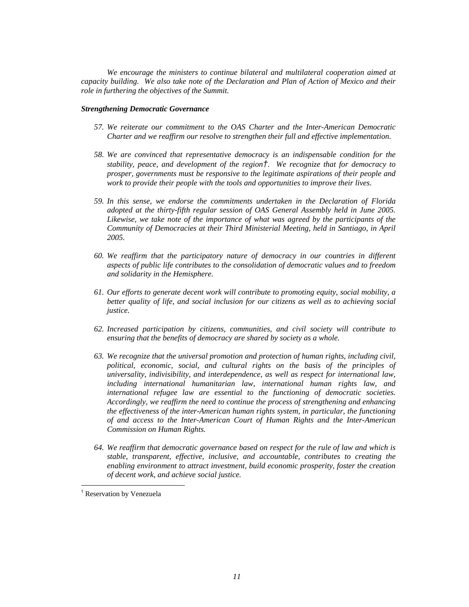*We encourage the ministers to continue bilateral and multilateral cooperation aimed at capacity building. We also take note of the Declaration and Plan of Action of Mexico and their role in furthering the objectives of the Summit.* 

#### *Strengthening Democratic Governance*

- *57. We reiterate our commitment to the OAS Charter and the Inter-American Democratic Charter and we reaffirm our resolve to strengthen their full and effective implementation.*
- *58. We are convinced that representative democracy is an indispensable condition for the stability, peace, and development of the region†. We recognize that for democracy to prosper, governments must be responsive to the legitimate aspirations of their people and work to provide their people with the tools and opportunities to improve their lives.*
- *59. In this sense, we endorse the commitments undertaken in the Declaration of Florida adopted at the thirty-fifth regular session of OAS General Assembly held in June 2005. Likewise, we take note of the importance of what was agreed by the participants of the Community of Democracies at their Third Ministerial Meeting, held in Santiago, in April 2005.*
- *60. We reaffirm that the participatory nature of democracy in our countries in different aspects of public life contributes to the consolidation of democratic values and to freedom and solidarity in the Hemisphere.*
- *61. Our efforts to generate decent work will contribute to promoting equity, social mobility, a better quality of life, and social inclusion for our citizens as well as to achieving social justice.*
- *62. Increased participation by citizens, communities, and civil society will contribute to ensuring that the benefits of democracy are shared by society as a whole.*
- *63. We recognize that the universal promotion and protection of human rights, including civil, political, economic, social, and cultural rights on the basis of the principles of universality, indivisibility, and interdependence, as well as respect for international law, including international humanitarian law, international human rights law, and international refugee law are essential to the functioning of democratic societies. Accordingly, we reaffirm the need to continue the process of strengthening and enhancing the effectiveness of the inter-American human rights system, in particular, the functioning of and access to the Inter-American Court of Human Rights and the Inter-American Commission on Human Rights.*
- *64. We reaffirm that democratic governance based on respect for the rule of law and which is stable, transparent, effective, inclusive, and accountable, contributes to creating the enabling environment to attract investment, build economic prosperity, foster the creation of decent work, and achieve social justice.*

l

<sup>†</sup> Reservation by Venezuela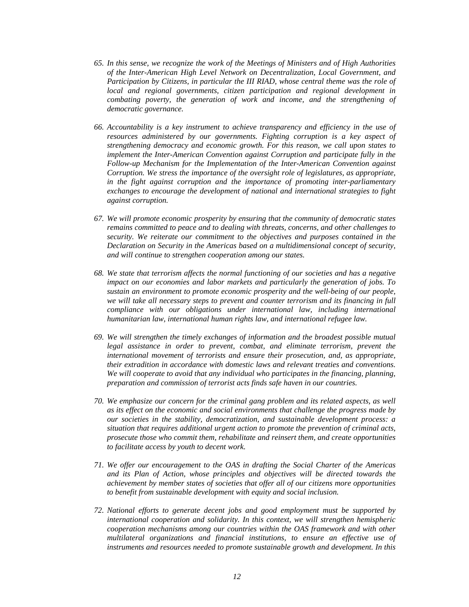- *65. In this sense, we recognize the work of the Meetings of Ministers and of High Authorities of the Inter-American High Level Network on Decentralization, Local Government, and Participation by Citizens, in particular the III RIAD, whose central theme was the role of local and regional governments, citizen participation and regional development in combating poverty, the generation of work and income, and the strengthening of democratic governance.*
- *66. Accountability is a key instrument to achieve transparency and efficiency in the use of resources administered by our governments. Fighting corruption is a key aspect of strengthening democracy and economic growth. For this reason, we call upon states to implement the Inter-American Convention against Corruption and participate fully in the Follow-up Mechanism for the Implementation of the Inter-American Convention against Corruption. We stress the importance of the oversight role of legislatures, as appropriate, in the fight against corruption and the importance of promoting inter-parliamentary exchanges to encourage the development of national and international strategies to fight against corruption.*
- *67. We will promote economic prosperity by ensuring that the community of democratic states remains committed to peace and to dealing with threats, concerns, and other challenges to security. We reiterate our commitment to the objectives and purposes contained in the Declaration on Security in the Americas based on a multidimensional concept of security, and will continue to strengthen cooperation among our states.*
- *68. We state that terrorism affects the normal functioning of our societies and has a negative impact on our economies and labor markets and particularly the generation of jobs. To sustain an environment to promote economic prosperity and the well-being of our people, we will take all necessary steps to prevent and counter terrorism and its financing in full compliance with our obligations under international law, including international humanitarian law, international human rights law, and international refugee law.*
- *69. We will strengthen the timely exchanges of information and the broadest possible mutual legal assistance in order to prevent, combat, and eliminate terrorism, prevent the international movement of terrorists and ensure their prosecution, and, as appropriate, their extradition in accordance with domestic laws and relevant treaties and conventions. We will cooperate to avoid that any individual who participates in the financing, planning, preparation and commission of terrorist acts finds safe haven in our countries.*
- *70. We emphasize our concern for the criminal gang problem and its related aspects, as well as its effect on the economic and social environments that challenge the progress made by our societies in the stability, democratization, and sustainable development process: a situation that requires additional urgent action to promote the prevention of criminal acts, prosecute those who commit them, rehabilitate and reinsert them, and create opportunities to facilitate access by youth to decent work.*
- *71. We offer our encouragement to the OAS in drafting the Social Charter of the Americas and its Plan of Action, whose principles and objectives will be directed towards the achievement by member states of societies that offer all of our citizens more opportunities to benefit from sustainable development with equity and social inclusion.*
- *72. National efforts to generate decent jobs and good employment must be supported by international cooperation and solidarity. In this context, we will strengthen hemispheric cooperation mechanisms among our countries within the OAS framework and with other multilateral organizations and financial institutions, to ensure an effective use of instruments and resources needed to promote sustainable growth and development. In this*